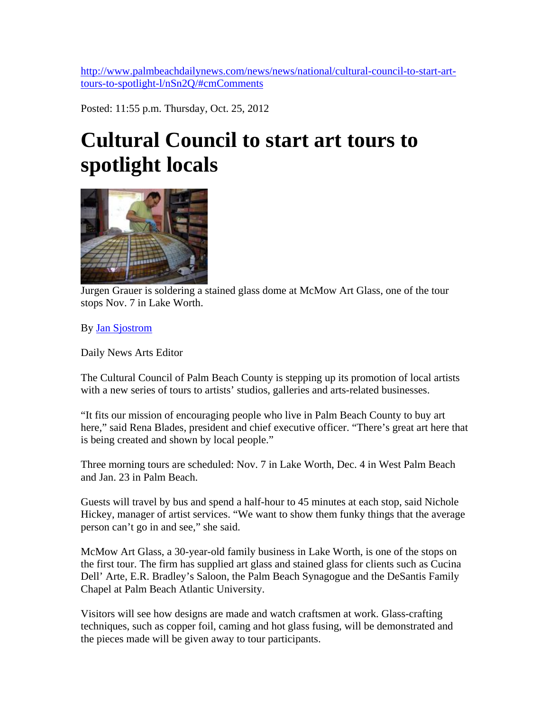[http://www.palmbeachdailynews.com/news/news/national/cultural-council-to-start-art](http://www.palmbeachdailynews.com/news/news/national/cultural-council-to-start-art-tours-to-spotlight-l/nSn2Q/#cmComments)[tours-to-spotlight-l/nSn2Q/#cmComments](http://www.palmbeachdailynews.com/news/news/national/cultural-council-to-start-art-tours-to-spotlight-l/nSn2Q/#cmComments)

Posted: 11:55 p.m. Thursday, Oct. 25, 2012

## **Cultural Council to start art tours to spotlight locals**



[Jurgen Grauer is soldering a st](http://media.cmgdigital.com/shared/lt/lt_cache/thumbnail/960/img/photos/2012/10/25/bf/a6/Jurgen-Grauer.jpg)ained glass dome at McMow Art Glass, one of the tour stops Nov. 7 in Lake Worth.

By [Jan Sjostrom](http://www.palmbeachdailynews.com/staff/jan-sjostrom/)

Daily News Arts Editor

The Cultural Council of Palm Beach County is stepping up its promotion of local artists with a new series of tours to artists' studios, galleries and arts-related businesses.

"It fits our mission of encouraging people who live in Palm Beach County to buy art here," said Rena Blades, president and chief executive officer. "There's great art here that is being created and shown by local people."

Three morning tours are scheduled: Nov. 7 in Lake Worth, Dec. 4 in West Palm Beach and Jan. 23 in Palm Beach.

Guests will travel by bus and spend a half-hour to 45 minutes at each stop, said Nichole Hickey, manager of artist services. "We want to show them funky things that the average person can't go in and see," she said.

McMow Art Glass, a 30-year-old family business in Lake Worth, is one of the stops on the first tour. The firm has supplied art glass and stained glass for clients such as Cucina Dell' Arte, E.R. Bradley's Saloon, the Palm Beach Synagogue and the DeSantis Family Chapel at Palm Beach Atlantic University.

Visitors will see how designs are made and watch craftsmen at work. Glass-crafting techniques, such as copper foil, caming and hot glass fusing, will be demonstrated and the pieces made will be given away to tour participants.